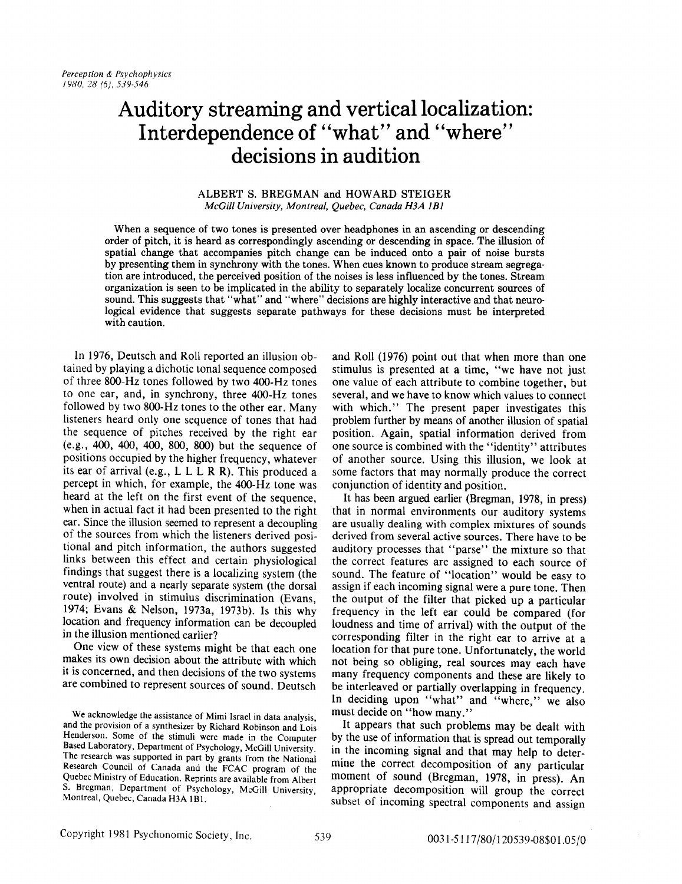# **Auditory streaming and vertical localization: Interdependence of "what" and "where" decisions in audition**

# ALBERT S. BREGMAN and HOWARD STEIGER *McGill University, Montreal, Quebec, Canada H3A 1B1*

When a sequence of two tones is presented over headphones in an ascending or descending order of pitch, it is heard as correspondingly ascending or descending in space. The illusion of spatial change that accompanies pitch change can be induced onto a pair of noise bursts by presenting them in synchrony with the tones. When cues known to produce stream segregation are introduced, the perceived position of the noises is less influenced by the tones. Stream organization is seen to be implicated in the ability to separately localize concurrent sources of sound. This suggests that "what" and "where" decisions are highly interactive and that neurological evidence that suggests separate pathways for these decisions must be interpreted with caution.

In 1976, Deutsch and Roll reported an illusion obtained by playing a dichotic tonal sequence composed of three 800-Hz tones followed by two 400-Hz tones to one ear, and, in synchrony, three 400-Hz tones followed by two 800-Hz tones to the other ear. Many listeners heard only one sequence of tones that had the sequence of pitches received by the right ear (e.g., 400, 400, 400, 800, 800) but the sequence of positions occupied by the higher frequency, whatever its ear of arrival (e.g., L L L R R). This produced a percept in which, for example, the 400-Hz tone was heard at the left on the first event of the sequence, when in actual fact it had been presented to the right ear. Since the illusion seemed to represent a decoupling of the sources from which the listeners derived positional and pitch information, the authors suggested links between this effect and certain physiological findings that suggest there is a localizing system (the ventral route) and a nearly separate system (the dorsal route) involved in stimulus discrimination (Evans, 1974; Evans & Nelson, 1973a, 1973b). Is this why location and frequency information can be decoupled in the illusion mentioned earlier?

One view of these systems might be that each one makes its own decision about the attribute with which it is concerned, and then decisions of the two systems are combined to represent sources of sound. Deutsch and Roll (1976) point out that when more than one stimulus is presented at a time, "we have not just one value of each attribute to combine together, but several, and we have to know which values to connect with which." The present paper investigates this problem further by means of another illusion of spatial position. Again, spatial information derived from one source is combined with the "identity" attributes of another source. Using this illusion, we look at some factors that may normally produce the correct conjunction of identity and position.

It has been argued earlier (Bregman, 1978, in press) that in normal environments our auditory systems are usually dealing with complex mixtures of sounds derived from several active sources. There have to be auditory processes that "parse" the mixture so that the correct features are assigned to each source of sound. The feature of "location" would be easy to assign if each incoming signal were a pure tone. Then the output of the filter that picked up a particular frequency in the left ear could be compared (for loudness and time of arrival) with the output of the corresponding filter in the right ear to arrive at a location for that pure tone. Unfortunately, the world not being so obliging, real sources may each have many frequency components and these are likely to be interleaved or partially overlapping in frequency. In deciding upon "what" and "where," we also must decide on "how many."

It appears that such problems may be dealt with by the use of information that is spread out temporally in the incoming signal and that may help to determine the correct decomposition of any particular moment of sound (Bregman, 1978, in press). An appropriate decomposition will group the correct subset of incoming spectral components and assign

We acknowledge the assistance of Mimi Israel in data analysis, and the provision of a synthesizer by Richard Robinson and Lois Henderson. Some of the stimuli were made in the Computer Based Laboratory, Department of Psychology, McGill University. The research was supported in part by grants from the National Research Council of Canada and the FCAC program of the Quebec Ministry of Education. Reprints are available from Albert S. Bregman, Department of Psychology, McGill University, Montreal, Quebec, Canada H3A 1B1.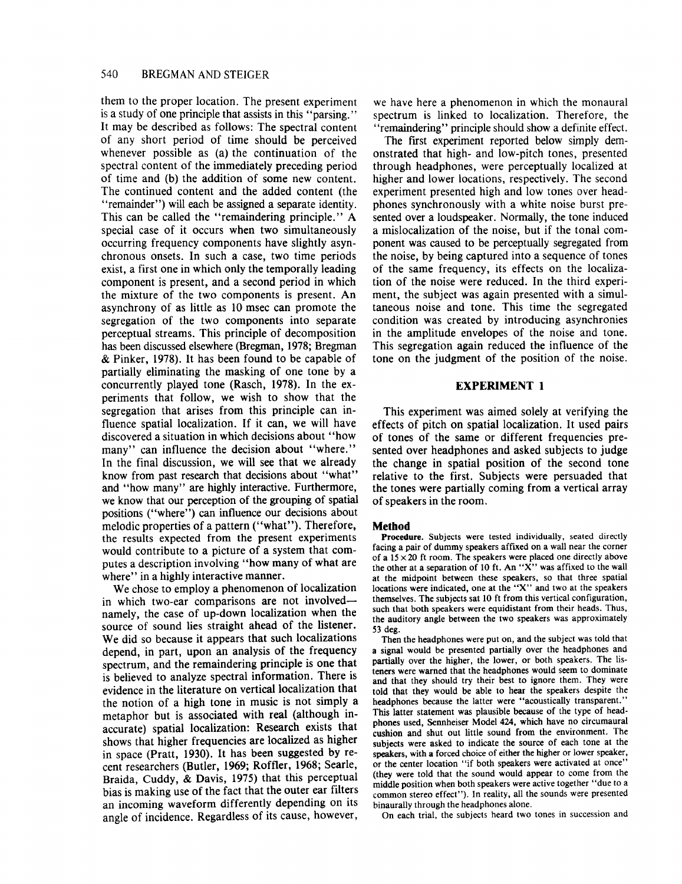# 540 BREGMAN AND STEIGER

them to the proper location. The present experiment is a study of one principle that assists in this "parsing." It may be described as follows: The spectral content of any short period of time should be perceived whenever possible as  $(a)$  the continuation of the spectral content of the immediately preceding period of time and (b) the addition of some new content. The continued content and the added content (the "remainder") will each be assigned a separate identity. This can be called the "remaindering principle." A special case of it occurs when two simultaneously occurring frequency components have slightly asynchronous onsets. In such a case, two time periods exist, a first one in which only the temporally leading component is present, and a second period in which the mixture of the two components is present. An asynchrony of as little as 10 msec can promote the segregation of the two components into separate perceptual streams. This principle of decomposition has been discussed elsewhere (Bregman, 1978; Bregman & Pinker, 1978). It has been found to be capable of partially eliminating the masking of one tone by a concurrently played tone (Rasch, 1978). In the experiments that follow, we wish to show that the segregation that arises from this principle can influence spatial localization. If it can, we will have discovered a situation in which decisions about "how many" can influence the decision about "where." In the final discussion, we will see that we already know from past research that decisions about "what" and "how many" are highly interactive. Furthermore, we know that our perception of the grouping of spatial positions ("where") can influence our decisions about melodic properties of a pattern ("what"). Therefore, the results expected from the present experiments would contribute to a picture of a system that computes a description involving "how many of what are where" in a highly interactive manner.

We chose to employ a phenomenon of localization in which two-ear comparisons are not involvednamely, the case of up-down localization when the source of sound lies straight ahead of the listener. We did so because it appears that such localizations depend, in part, upon an analysis of the frequency spectrum, and the remaindering principle is one that is believed to analyze spectral information. There is evidence in the literature on vertical localization that the notion of a high tone in music is not simply a metaphor but is associated with real (although inaccurate) spatial localization: Research exists that shows that higher frequencies are localized as higher in space (Pratt, 1930). It has been suggested by recent researchers (Butler, 1969; Roffler, 1968; Searle, Braida, Cuddy, & Davis, 1975) that this perceptual bias is making use of the fact that the outer ear filters an incoming waveform differently depending on its angle of incidence. Regardless of its cause, however,

we have here a phenomenon in which the monaural spectrum is linked to localization. Therefore, the "remaindering" principle should show a definite effect.

The first experiment reported below simply demonstrated that high- and low-pitch tones, presented through headphones, were perceptually localized at higher and lower locations, respectively. The second experiment presented high and low tones over headphones synchronously with a white noise burst presented over a loudspeaker. Normally, the tone induced a mislocalization of the noise, but if the tonal component was caused to be perceptually segregated from the noise, by being captured into a sequence of tones of the same frequency, its effects on the localization of the noise were reduced. In the third experiment, the subject was again presented with a simultaneous noise and tone. This time the segregated condition was created by introducing asynchronies in the amplitude envelopes of the noise and tone. This segregation again reduced the influence of the tone on the judgment of the position of the noise.

## **EXPERIMENT I**

**This experiment was aimed solely at verifying the effects of pitch on spatial localization. It used pairs of tones of the same or different frequencies presented over headphones and asked subjects to judge the change in spatial position of the second tone relative to the first. Subjects were persuaded that the tones were partially coming from a vertical array of speakers in the room.**

#### **Method**

**Procedure.** Subjects were tested individually, seated directly facing a pair of dummy speakers affixed on a wall near the corner of a  $15 \times 20$  ft room. The speakers were placed one directly above the other at a separation of 10 ft. An "X" was affixed to the wall at the midpoint between these speakers, so that three spatial locations were indicated, one at the "X" and two at the speakers themselves. The subjects sat 10 ft from this vertical configuration, such that both speakers were equidistant from their heads. Thus, the auditory angle between the two speakers was approximately 53 deg.

Then the headphones were put on, and the subject was told that a signal would be presented partially over the headphones and partially over the higher, the lower, or both speakers. The listeners were warned that the headphones would seem to dominate and that they should try their best to ignore them. They were told that they would be able to hear the speakers despite the headphones because the latter were "acoustically transparent." This latter statement was plausible because of the type of headphones used, Sennheiser Model 424, which have no circumaural cushion and shut out little sound from the environment. The subjects were asked to indicate the source of each tone at the speakers, with a forced choice of either the higher or lower speaker, or the center location "if both speakers were activated at once" (they were told that the sound would appear to come from the middle position when both speakers were active together "due to a common stereo effect"). In reality, all the sounds were presented binaurally through the headphones alone.

On each trial, the subjects heard two tones in succession and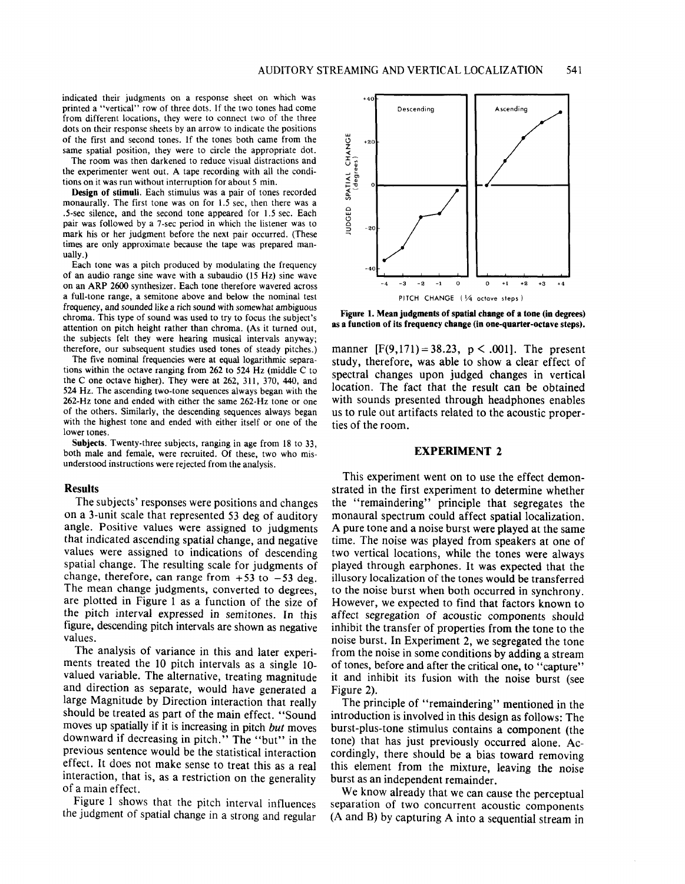indicated their judgments on a response sheet on which was printed a "vertical" row of three dots. If the two tones had come from different locations, they were to connect two of the three dots on their response sheets by an arrow to indicate the positions of the first and second tones. If the tones both came from the same spatial position, they were to circle the appropriate dot.

The room was then darkened to reduce visual distractions and the experimenter went out. A tape recording with all the conditions on it was run without interruption for about 5 min.

**Design of stimuli.** Each stimulus was a pair of tones recorded monaurally. The first tone was on for 1.5 sec, then there was a .5-sec silence, and the second tone appeared for 1.5 sec. Each pair was followed by a 7-sec period in which the listener was to mark his or her judgment before the next pair occurred. (These times are only approximate because the tape was prepared manually.)

Each tone was a pitch produced by modulating the frequency of an audio range sine wave with a subaudio (15 Hz) sine wave on an ARP 2600 synthesizer. Each tone therefore wavered across a full-tone range, a semitone above and below the nominal test frequency, and sounded like a rich sound with somewhat ambiguous chroma. This type of sound was used to try to focus the subject's attention on pitch height rather than chroma. (As it turned out, the subjects felt they were hearing musical intervals anyway; therefore, our subsequent studies used tones of steady pitches.)

The five nominal frequencies were at equal logarithmic separations within the octave ranging from 262 to 524 Hz (middle C to the C one octave higher). They were at 262, 311, 370, 440, and 524 Hz. The ascending two-tone sequences always began with the 262-Hz tone and ended with either the same 262-Hz tone or one of the others. Similarly, the descending sequences always began with the highest tone and ended with either itself or one of the lower tones.

**Subjects.** Twenty-three subjects, ranging in age from 18 to 33, both male and female, were recruited. Of these, two who misunderstood instructions were rejected from the analysis.

#### **Results**

The subjects' responses were positions and changes on a 3-unit scale that represented 53 deg of auditory angle. Positive values were assigned to judgments that indicated ascending spatial change, and negative values were assigned to indications of descending spatial change. The resulting scale for judgments of change, therefore, can range from  $+53$  to  $-53$  deg. The mean change judgments, converted to degrees, are plotted in Figure 1 as a function of the size of the pitch interval expressed in semitones. In this figure, descending pitch intervals are shown as negative values.

The analysis of variance in this and later experiments treated the 10 pitch intervals as a single lOvalued variable. The alternative, treating magnitude and direction as separate, would have generated a large Magnitude by Direction interaction that really should be treated as part of the main effect. "Sound moves up spatially if it is increasing in pitch *but* moves downward if decreasing in pitch." The "but" in the previous sentence would be the statistical interaction effect. It does not make sense to treat this as a real interaction, that is, as a restriction on the generality of a main effect.

Figure 1 shows that the pitch interval influences the judgment of spatial change in a strong and regular



**Figure 1. Mean judgments of spatial change of a tone (in degrees) as a function of its frequency change (in one-quarter-octave steps).**

**manner**  $[F(9,171) = 38.23, p \lt .001]$ . The present **study, therefore, was able to show a clear effect of spectral changes upon judged changes in vertical location. The fact that the result can be obtained with sounds presented through headphones enables us to rule out artifacts related to the acoustic properties of the room.**

## **EXPERIMENT 2**

**This experiment went on to use the effect demonstrated in the first experiment to determine whether the "remaindering" principle that segregates the monaural spectrum could affect spatial localization. A pure tone and a noise burst were played at the same time. The noise was played from speakers at one of two vertical locations, while the tones were always played through earphones. It was expected that the illusory localization of the tones would be transferred to the noise burst when both occurred in synchrony. However, we expected to find that factors known to affect segregation of acoustic components should inhibit the transfer of properties from the tone to the noise burst. In Experiment 2, we segregated the tone from the noise in some conditions by adding a stream of tones, before and after the critical one, to "capture" it and inhibit its fusion with the noise burst (see Figure 2).**

**The principle of "remaindering" mentioned in the introduction is involved in this design as follows: The burst-plus-tone stimulus contains a component (the tone) that has just previously occurred alone. Accordingly, there should be a bias toward removing this element from the mixture, leaving the noise burst as an independent remainder.**

**We know already that we can cause the perceptual separation of two concurrent acoustic components (A and B) by capturing A into a sequential stream in**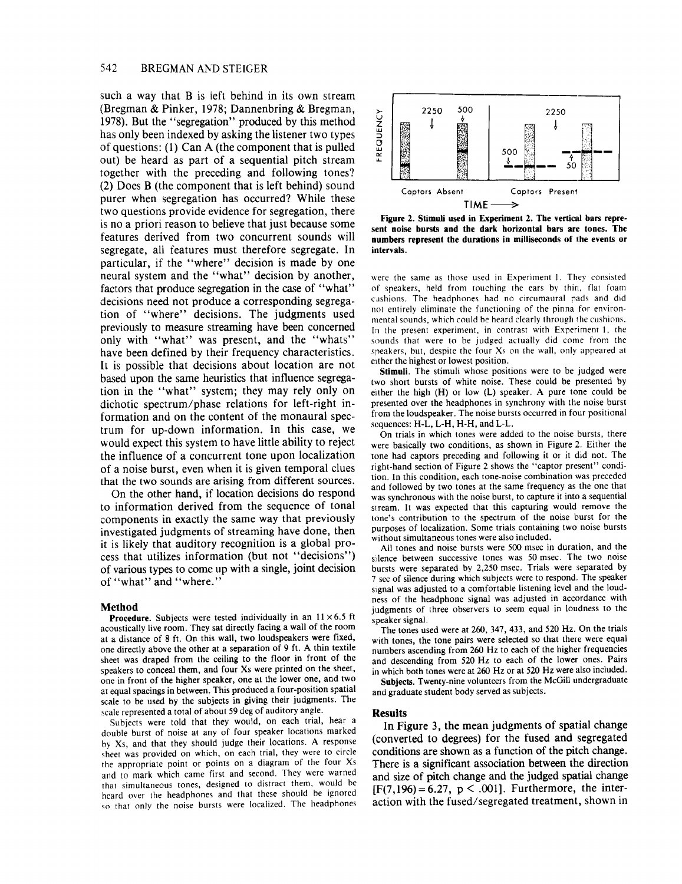# 542 BREGMAN AND STEIGER

such a way that B is left behind in its own stream (Bregman & Pinker, 1978; Dannenbring & Bregman, 1978). But the "segregation" produced by this method has only been indexed by asking the listener two types of questions: (1) Can A (the component that is pulled out) be heard as part of a sequential pitch stream together with the preceding and following tones? (2) Does B (the component that is left behind) sound purer when segregation has occurred? While these two questions provide evidence for segregation, there is no a priori reason to believe that just because some features derived from two concurrent sounds will segregate, all features must therefore segregate. In particular, if the "where" decision is made by one neural system and the "what" decision by another, factors that produce segregation in the case of "what" decisions need not produce a corresponding segregation of "where" decisions. The judgments used previously to measure streaming have been concerned only with "what" was present, and the "whats" have been defined by their frequency characteristics. It is possible that decisions about location are not based upon the same heuristics that influence segregation in the "what" system; they may rely only on dichotic spectrum/phase relations for left-right information and on the content of the monaural spectrum for up-down information. In this case, we would expect this system to have little ability to reject the influence of a concurrent tone upon localization of a noise burst, even when it is given temporal clues that the two sounds are arising from different sources.

On the other hand, if location decisions do respond to information derived from the sequence of tonal components in exactly the same way that previously investigated judgments of streaming have done, then it is likely that auditory recognition is a global process that utilizes information (but not "decisions") of various types to come up with a single, joint decision of "what" and "where."

#### **Method**

**Procedure.** Subjects were tested individually in an  $11 \times 6.5$  ft acoustically live room. They sat directly facing a wall of the room at a distance of 8 ft. On this wall, two loudspeakers were fixed, one directly above the other at a separation of 9 ft. A thin textile sheet was draped from the ceiling to the floor in front of the speakers to conceal them, and four Xs were printed on the sheet, one in front of the higher speaker, one at the lower one, and two at equal spacings in between. This produced a four-position spatial scale to be used by the subjects in giving their judgments. The scale represented a total of about 59 deg of auditory angle.

Subjects were told that they would, on each trial, hear a double burst of noise at any of four speaker locations marked by Xs, and that they should judge their locations. A response sheet was provided on which, on each trial, they were to circle the appropriate point or points on a diagram of the four Xs and to mark which came first and second. They were warned that simultaneous tones, designed to distract them, would be heard over the headphones and that these should be ignored so that only the noise bursts were localized. The headphones



**Figure 2. Stimuli used in Experiment 2. The vertical bars represent noise bursts and the dark horizontal bars are tones. The numbers represent the durations in milliseconds of the events or intervals.**

were the same as those used in Experiment 1. They consisted of speakers, held from touching the ears by thin, flat foam cashions. The headphones had no circumaural pads and did not entirely eliminate the functioning of the pinna for environmental sounds, which could be heard clearly through the cushions. In the present experiment, in contrast with Experiment 1, the sounds that were to be jndged actually did come from the speakers, but, despite the four Xs on the wall, only appeared at either the highest or lowest position.

**Stimuli.** The stimuli whose positions were to be judged were two short bursts of white noise. These could be presented by either the high (H) or low (L) speaker. A pure tone could be presented over the headphones in synchrony with the noise burst from the loudspeaker. The noise bursts occurred in four positional sequences: H-L, L-H, H-H, and L-L.

On trials in which tones were added to the noise bursts, there were basically two conditions, as shown in Figure 2. Either the tone had captors preceding and following it or it did not. The right-hand section of Figure 2 shows the "captor present" condition. In this condition, each tone-noise combination was preceded and followed by two tones at the same frequency as the one that was synchronous with the noise burst, to capture it into a sequential stream. It was expected that this capturing would remove the tone's contribution to the spectrum of the noise burst for the purposes of localization. Some trials containing two noise bursts without simultaneous tones were also included.

All tones and noise bursts were 500 msec in duration, and the silence between successive tones was 50 msec. The two noise bursts were separated by 2,250 msec. Trials were separated by 7 sec of silence during which subjects were to respond. The speaker signal was adjusted to a comfortable listening level and the loudness of the headphone signal was adjusted in accordance with judgments of three observers to seem equal in loudness to the speaker signal.

The tones used were at 260, 347,433, and 520 Hz. On the trials with tones, the tone pairs were selected so that there were equal numbers ascending from 260 Hz to each of the higher frequencies and descending from 520 Hz to each of the lower ones. Pairs in which both tones were at 260 Hz or at 520 Hz were also included.

**Subjects.** Twenty-nine volunteers from the McGill undergraduate and graduate student body served as subjects.

#### **Results**

In Figure 3, the mean judgments of spatial change (converted to degrees) for the fused and segregated conditions are shown as a function of the pitch change. There is a significant association between the direction and size of pitch change and the judged spatial change  $[F(7,196)=6.27, p \le .001]$ . Furthermore, the interaction with the fused/segregated treatment, shown in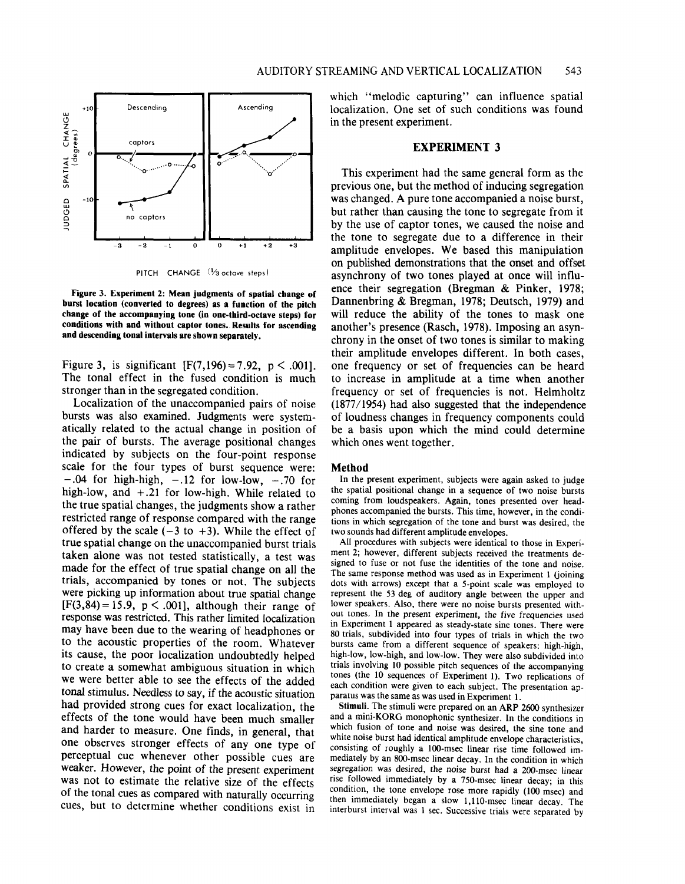

**Figure 3. Experiment 2: Mean judgments of spatial change of burst location (converted to degrees) as a function of the pitch change of the accompanying tone (in one-third-octave steps) for conditions with and without captor tones.. Results for ascending**

**and descending tonal intervals are shown separately.**

**Figure 3, is significant**  $[F(7,196) = 7.92, p < .001]$ **. The tonal effect in the fused condition is much stronger than in the segregated condition.**

**Localization of the unaccompanied pairs of noise bursts was also examined. Judgments were systematically related to the actual change in position of the pair of bursts. The average positional changes indicated by subjects on the four-point response scale for the four types of burst sequence were:**  $-.04$  for high-high,  $-.12$  for low-low,  $-.70$  for **high-low, and +.21 for low-high. While related to the true spatial changes, the judgments show a rather restricted range of response compared with the range** offered by the scale  $(-3 \text{ to } +3)$ . While the effect of **true spatial change on the unaccompanied burst trials taken alone was not tested statistically, a test was made for the effect of true spatial change on all the trials, accompanied by tones or not. The subjects were picking up information about true spatial change [F(3,84)= 15.9, p < .001], although their range of response was restricted. This rather limited localization may have been due to the wearing of headphones or to the acoustic properties of the room. Whatever its cause, the poor localization undoubtedly helped to create a somewhat ambiguous situation in which we were better able to see the effects of the added tonal stimulus. Needless to say, if the acoustic situation had provided strong cues for exact localization, the effects of the tone would have been much smaller and harder to measure. One finds, in general, that one observes stronger effects of any one type of perceptual cue whenever other possible cues are weaker. However, the point of the present experiment was not to estimate the relative size of the effects of the tonal cues as compared with naturally occurring cues, but to determine whether conditions exist in**

**which "melodic capturing" can influence spatial localization. One set of such conditions was found in the present experiment.**

# **EXPERIMENT 3**

**This experiment had the same general form as the previous one, but the method of inducing segregation was changed. A pure tone accompanied a noise burst, but rather than causing the tone to segregate from it by the use of captor tones, we caused the noise and the tone to segregate due to a difference in their amplitude envelopes. We based this manipulation on published demonstrations that the onset and offset asynchrony of two tones played at once will influence their segregation (Bregman & Pinker, 1978; Dannenbring & Bregman, 1978; Deutsch, 1979) and will reduce the ability of the tones to mask one another's presence (Rasch, 1978). Imposing an asynchrony in the onset of two tones is similar to making their amplitude envelopes different. In both cases, one frequency or set of frequencies can be heard to increase in amplitude at a time when another frequency or set of frequencies is not. Helmholtz (1877/1954) had also suggested that the independence of loudness changes in frequency components could be a basis upon which the mind could determine which ones went together.**

## **Method**

**In the present experiment, subjects were again asked to judge the spatial positional change in a sequence of two noise bursts coming from loudspeakers. Again, tones presented over headphones accompanied the bursts. This time, however, in the conditions in which segregation of the tone and burst was desired, the two sounds had different amplitude envelopes.**

**All procedures with subjects were identical to those in Experiment 2; however, different subjects received the treatments designed to fuse or not fuse the identities of the tone and noise. The same response method was used as in Experiment 1 (joining dots with arrows) except that a 5-point scale was employed to represent the 53 deg of auditory angle between the upper and lower speakers. Also, there were no noise bursts presented without tones. In the present experiment, the five frequencies used** in Experiment 1 **appeared as steady-state sine tones. There were 80 trials, subdivided into four types of trials in which the two bursts came from a different sequence of speakers: high-high, high-low, low-high, and low-low. They were also subdivided into trials involving 10 possible pitch sequences of the accompanying tones (the 10 sequences of Experiment** 1). Two **replications of each condition were given to each subject. The presentation apparatus was the same as was used in Experiment** 1.

**Stimuli. The stimuli were prepared on an** ARP 2600 **synthesizer and** a mini-KORG **monophonic synthesizer. In the conditions in which fusion of tone and noise was desired, the sine tone and white noise burst had identical amplitude envelope characteristics, consisting of roughly a 100-msec linear rise time followed immediately by an 800-msec linear decay. In the condition in which** *segregation* **was desired, the noise** *burst* **had a 200-msec linear rise followed immediately by a 750-msec linear decay; in this condition, the tone envelope rose more rapidly (100 msec) and then immediately began a slow l,ll0-msec linear decay. The interburst interval was 1 sec. Successive trials were separated by**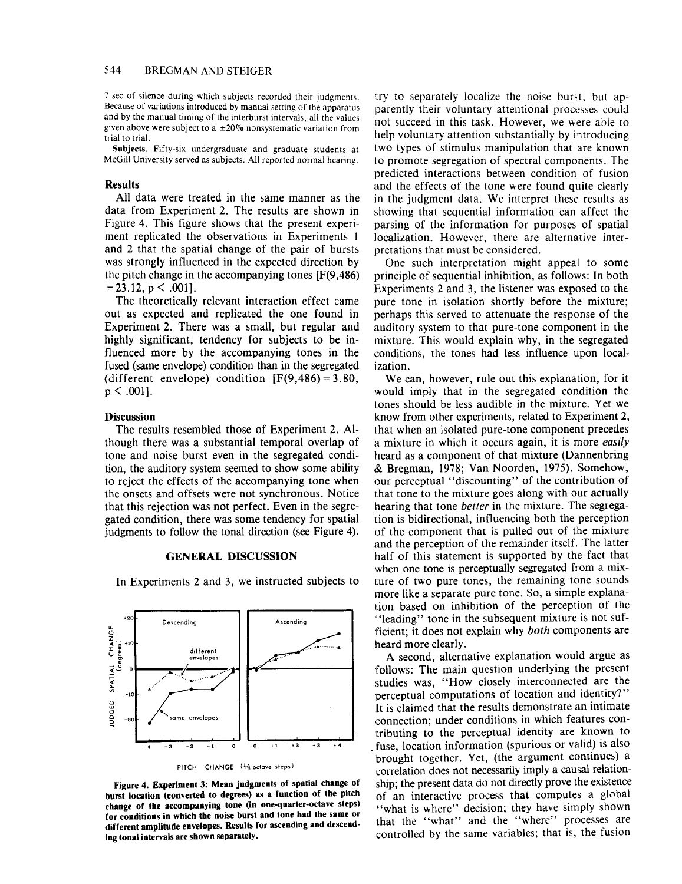7 sec of silence during which subjects recorded their judgments. Because of variations introduced by manual setting of the apparatus and by the manual timing of the interburst intervals, all the values given above were subject to a  $\pm 20\%$  nonsystematic variation from trial to trial.

Subjects. Fifty-six undergraduate and graduate students at McGill University served as subjects. All reported normal hearing.

## **Results**

All data were treated in the same manner as the data from Experiment 2. The results are shown in Figure 4. This figure shows that the present experiment replicated the observations in Experiments 1 and 2 that the spatial change of the pair of bursts was strongly influenced in the expected direction by the pitch change in the accompanying tones  $[F(9,486)]$  $=$  23.12, p  $< .001$ ].

The theoretically relevant interaction effect came out as expected and replicated the one found in Experiment 2. There was a small, but regular and highly significant, tendency for subjects to be influenced more by the accompanying tones in the fused (same envelope) condition than in the segregated (different envelope) condition  $[F(9,486) = 3.80,$  $p < .001$ .

## **Discussion**

The results resembled those of Experiment 2. Although there was a substantial temporal overlap of tone and noise burst even in the segregated condition, the auditory system seemed to show some ability to reject the effects of the accompanying tone when the onsets and offsets were not synchronous. Notice that this rejection was not perfect. Even in the segregated condition, there was some tendency for spatial judgments to follow the tonal direction (see Figure 4).

## **GENERAL DISCUSSION**

In Experiments 2 and 3, we instructed subjects to



**Figure 4. Experiment 3: Mean judgments of spatial change of burst location (converted to degrees) as a function of the pitch change of the accompanying tone (in one-quarter-octave steps) for conditions in which the noise burst and tone had the same or different amplitude envelopes. Results for ascending and descending tonal intervals are shown separately.**

try to separately localize the noise burst, but apparently their voluntary attentional processes could not succeed in this task. However, we were able to help voluntary attention substantially by introducing two types of stimulus manipulation that are known to promote segregation of spectral components. The predicted interactions between condition of fusion and the effects of the tone were found quite clearly in the judgment data. We interpret these results as showing that sequential information can affect the parsing of the information for purposes of spatial localization. However, there are alternative interpretations that must be considered.

One such interpretation might appeal to some principle of sequential inhibition, as follows: In both Experiments 2 and 3, the listener was exposed to the pure tone in isolation shortly before the mixture; perhaps this served to attenuate the response of the auditory system to that pure-tone component in the mixture. This would explain why, in the segregated conditions, the tones had less influence upon localization.

We can, however, rule out this explanation, for it would imply that in the segregated condition the tones should be less audible in the mixture. Yet we know from other experiments, related to Experiment 2, that when an isolated pure-tone component precedes a mixture in which it occurs again, it is more *easily* heard as a component of that mixture (Dannenbring & Bregman, 1978; Van Noorden, 1975). Somehow, our perceptual "discounting" of the contribution of that tone to the mixture goes along with our actually hearing that tone *better* in the mixture. The segregation is bidirectional, influencing both the perception of the component that is pulled out of the mixture and the perception of the remainder itself. The latter half of this statement is supported by the fact that when one tone is perceptually segregated from a mixture of two pure tones, the remaining tone sounds more like a separate pure tone. So, a simple explanation based on inhibition of the perception of the "leading" tone in the subsequent mixture is not sufficient; it does not explain why *both* components are heard more clearly.

A second, alternative explanation would argue as follows: The main question underlying the present studies was, "How closely interconnected are the perceptual computations of location and identity?" It is claimed that the results demonstrate an intimate connection; under conditions in which features contributing to the perceptual identity are known to fuse, location information (spurious or valid) is also brought together. Yet, (the argument continues) a correlation does not necessarily imply a causal relationship; the present data do not directly prove the existence of an interactive process that computes a global "what is where" decision; they have simply shown that the "what" and the "where" processes are controlled by the same variables; that is, the fusion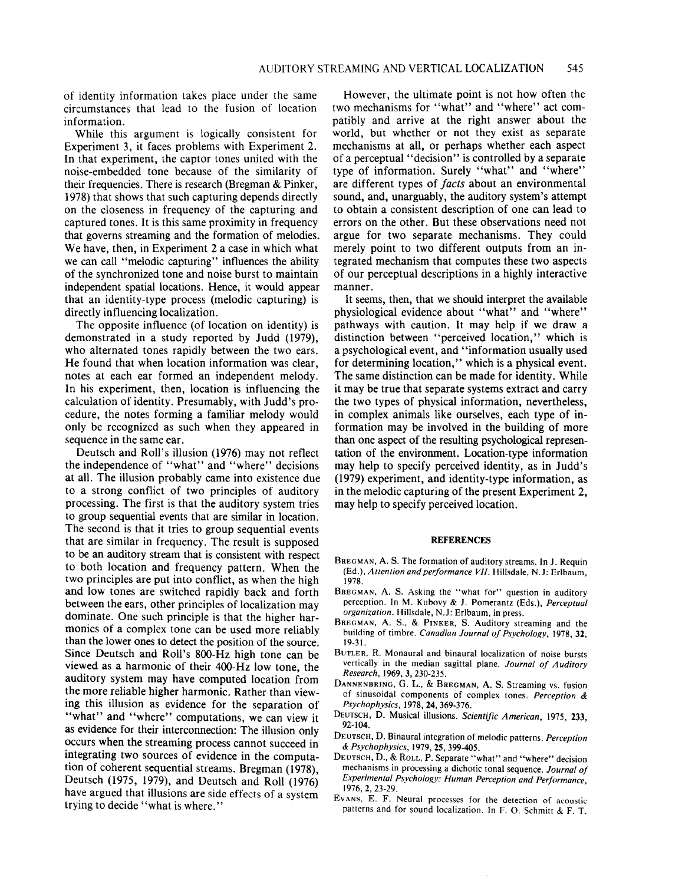of identity information takes place under the same circumstances that lead to the fusion of location information.

While this argument is logically consistent for Experiment 3, it faces problems with Experiment 2. In that experiment, the captor tones united with the noise-embedded tone because of the similarity of their frequencies. There is research (Bregman & Pinker, 1978) that shows that such capturing depends directly on the closeness in frequency of the capturing and captured tones. It is this same proximity in frequency that governs streaming and the formation of melodies. We have, then, in Experiment 2 a case in which what we can call "melodic capturing" influences the ability of the synchronized tone and noise burst to maintain independent spatial locations. Hence, it would appear that an identity-type process (melodic capturing) is directly influencing localization.

The opposite influence (of location on identity) is demonstrated in a study reported by Judd (1979), who alternated tones rapidly between the two ears. He found that when location information was clear, notes at each ear formed an independent melody. In his experiment, then, location is influencing the calculation of identity. Presumably, with Judd's procedure, the notes forming a familiar melody would only be recognized as such when they appeared in sequence in the same ear.

Deutsch and Roll's illusion (1976) may not reflect the independence of "what" and "where" decisions at all. The illusion probably came into existence due to a strong conflict of two principles of auditory processing. The first is that the auditory system tries to group sequential events that are similar in location. The second is that it tries to group sequential events that are similar in frequency. The result is supposed to be an auditory stream that is consistent with respect to both location and frequency pattern. When the two principles are put into conflict, as when the high and low tones are switched rapidly back and forth between the ears, other principles of localization may dominate. One such principle is that the higher harmonics of a complex tone can be used more reliably than the lower ones to detect the position of the source. Since Deutsch and Roll's 800-Hz high tone can be viewed as a harmonic of their 400-Hz low tone, the auditory system may have computed location from the more reliable higher harmonic. Rather than viewing this illusion as evidence for the separation of "what" and "where" computations, we can view it as evidence for their interconnection: The illusion only occurs when the streaming process cannot succeed in integrating two sources of evidence in the computation of coherent sequential streams. Bregman (1978), Deutsch (1975, 1979), and Deutsch and Roll (1976) have argued that illusions are side effects of a system trying to decide "what is where."

However, the ultimate point is not how often the two mechanisms for "what" and "where" act compatibly and arrive at the right answer about the world, but whether or not they exist as separate mechanisms at all, or perhaps whether each aspect of a perceptual "decision" is controlled by a separate type of information. Surely "what" and "where" are different types of *facts* about an environmental sound, and, unarguably, the auditory system's attempt to obtain a consistent description of one can lead to errors on the other. But these observations need not argue for two separate mechanisms. They could merely point to two different outputs from an integrated mechanism that computes these two aspects of our perceptual descriptions in a highly interactive manner.

It seems, then, that we should interpret the available physiological evidence about "what" and "where" pathways with caution. It may help if we draw a distinction between "perceived location," which is a psychological event, and "information usually used for determining location," which is a physical event. The same distinction can be made for identity. While it may be true that separate systems extract and carry the two types of physical information, nevertheless, in complex animals like ourselves, each type of information may be involved in the building of more than one aspect of the resulting psychological representation of the environment. Location-type information may help to specify perceived identity, as in Judd's (1979) experiment, and identity-type information, as in the melodic capturing of the present Experiment 2, may help to specify perceived location.

#### REFERENCES

- BREGMAN, A. S. The formation of auditory streams. In J. Requin (Ed.), *Attention and performance VII.* Hillsdale, N.J: Erlbaum, 1978.
- BREGMAN, A. S. Asking the "what for" question in auditory perception. In M. Kubovy & J. Pomerantz (Eds.), *Perceptual organization.* Hillsdale, N.J: Erlbaum, in press.
- BREGMAN, A. S., & PINKER, S. Auditory streaming and the building of timbre. *Canadian Journal of Psychology,* 1978, 32, 19-31.
- BUTLER, R. Monaural and binaural localization of noise bursts vertically in the median sagittal plane. *Journal of Auditory Research,* 1969, 3, 230-235.
- DANNENBRING, G. L., & BREGMAN, A. S. Streaming vs. fusion of sinusoidal components of complex tones. *Perception & Psychophysics,* 1978, 24, 369-376.
- DEU'rSCH, D. Musical illusions. *Scientific American,* 1975, 233, 92-104.
- DEUTSCH, D. Binaural integration of melodic patterns. *Perception & Psychophysics,* 1979, 25, 399-405.
- DEUTSCH, D., & ROLL, P. Separate "what" and "where" decision mechanisms in processing a dichotic tonal sequence. *Journal of Experimental Ps.vchology: Human Perception and Performance,* 1976, 2, 23-29.
- EVANS, E. F. Neural processes for the detection of acoustic patterns and for sound localization. In F. O. Schmitt & F. T.